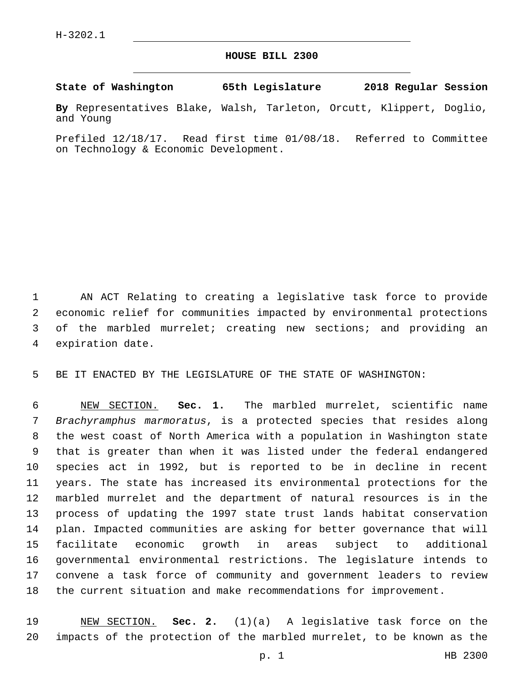## **HOUSE BILL 2300**

**State of Washington 65th Legislature 2018 Regular Session**

**By** Representatives Blake, Walsh, Tarleton, Orcutt, Klippert, Doglio, and Young

Prefiled 12/18/17. Read first time 01/08/18. Referred to Committee on Technology & Economic Development.

 AN ACT Relating to creating a legislative task force to provide economic relief for communities impacted by environmental protections of the marbled murrelet; creating new sections; and providing an 4 expiration date.

BE IT ENACTED BY THE LEGISLATURE OF THE STATE OF WASHINGTON:

 NEW SECTION. **Sec. 1.** The marbled murrelet, scientific name *Brachyramphus marmoratus*, is a protected species that resides along the west coast of North America with a population in Washington state that is greater than when it was listed under the federal endangered species act in 1992, but is reported to be in decline in recent years. The state has increased its environmental protections for the marbled murrelet and the department of natural resources is in the process of updating the 1997 state trust lands habitat conservation plan. Impacted communities are asking for better governance that will facilitate economic growth in areas subject to additional governmental environmental restrictions. The legislature intends to convene a task force of community and government leaders to review the current situation and make recommendations for improvement.

 NEW SECTION. **Sec. 2.** (1)(a) A legislative task force on the impacts of the protection of the marbled murrelet, to be known as the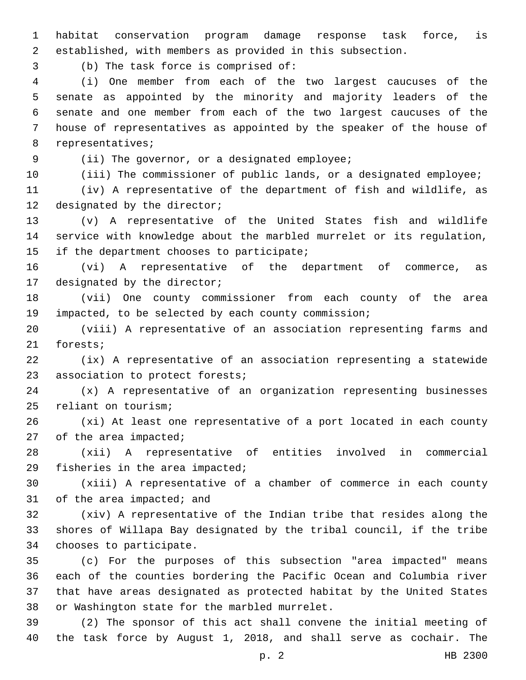habitat conservation program damage response task force, is established, with members as provided in this subsection.

(b) The task force is comprised of:3

 (i) One member from each of the two largest caucuses of the senate as appointed by the minority and majority leaders of the senate and one member from each of the two largest caucuses of the house of representatives as appointed by the speaker of the house of 8 representatives;

9 (ii) The governor, or a designated employee;

(iii) The commissioner of public lands, or a designated employee;

 (iv) A representative of the department of fish and wildlife, as 12 designated by the director;

 (v) A representative of the United States fish and wildlife service with knowledge about the marbled murrelet or its regulation, 15 if the department chooses to participate;

 (vi) A representative of the department of commerce, as 17 designated by the director;

 (vii) One county commissioner from each county of the area impacted, to be selected by each county commission;

 (viii) A representative of an association representing farms and 21 forests;

 (ix) A representative of an association representing a statewide 23 association to protect forests;

 (x) A representative of an organization representing businesses 25 reliant on tourism;

 (xi) At least one representative of a port located in each county of the area impacted;

 (xii) A representative of entities involved in commercial 29 fisheries in the area impacted;

 (xiii) A representative of a chamber of commerce in each county 31 of the area impacted; and

 (xiv) A representative of the Indian tribe that resides along the shores of Willapa Bay designated by the tribal council, if the tribe 34 chooses to participate.

 (c) For the purposes of this subsection "area impacted" means each of the counties bordering the Pacific Ocean and Columbia river that have areas designated as protected habitat by the United States 38 or Washington state for the marbled murrelet.

 (2) The sponsor of this act shall convene the initial meeting of the task force by August 1, 2018, and shall serve as cochair. The

p. 2 HB 2300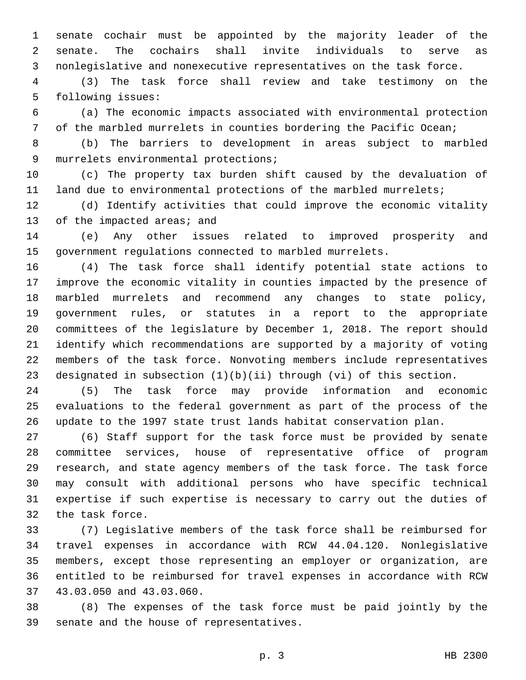senate cochair must be appointed by the majority leader of the senate. The cochairs shall invite individuals to serve as nonlegislative and nonexecutive representatives on the task force.

 (3) The task force shall review and take testimony on the 5 following issues:

 (a) The economic impacts associated with environmental protection of the marbled murrelets in counties bordering the Pacific Ocean;

 (b) The barriers to development in areas subject to marbled 9 murrelets environmental protections;

 (c) The property tax burden shift caused by the devaluation of land due to environmental protections of the marbled murrelets;

 (d) Identify activities that could improve the economic vitality 13 of the impacted areas; and

 (e) Any other issues related to improved prosperity and government regulations connected to marbled murrelets.

 (4) The task force shall identify potential state actions to improve the economic vitality in counties impacted by the presence of marbled murrelets and recommend any changes to state policy, government rules, or statutes in a report to the appropriate committees of the legislature by December 1, 2018. The report should identify which recommendations are supported by a majority of voting members of the task force. Nonvoting members include representatives designated in subsection (1)(b)(ii) through (vi) of this section.

 (5) The task force may provide information and economic evaluations to the federal government as part of the process of the update to the 1997 state trust lands habitat conservation plan.

 (6) Staff support for the task force must be provided by senate committee services, house of representative office of program research, and state agency members of the task force. The task force may consult with additional persons who have specific technical expertise if such expertise is necessary to carry out the duties of 32 the task force.

 (7) Legislative members of the task force shall be reimbursed for travel expenses in accordance with RCW 44.04.120. Nonlegislative members, except those representing an employer or organization, are entitled to be reimbursed for travel expenses in accordance with RCW 37 43.03.050 and 43.03.060.

 (8) The expenses of the task force must be paid jointly by the 39 senate and the house of representatives.

p. 3 HB 2300